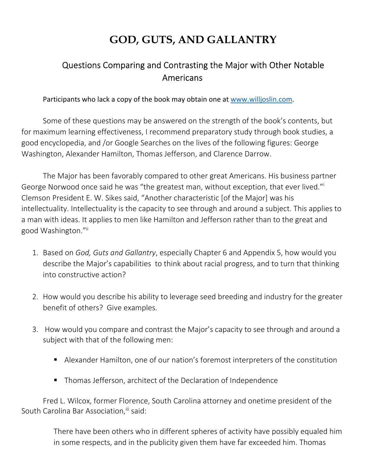## **GOD, GUTS, AND GALLANTRY**

## Questions Comparing and Contrasting the Major with Other Notable Americans

Participants who lack a copy of the book may obtain one at www.willjoslin.com.

Some of these questions may be answered on the strength of the book's contents, but for maximum learning effectiveness, I recommend preparatory study through book studies, a good encyclopedia, and /or Google Searches on the lives of the following figures: George Washington, Alexander Hamilton, Thomas Jefferson, and Clarence Darrow.

The Major has been favorably compared to other great Americans. His business partner George Norwood once said he was "the greatest man, without exception, that ever lived."<sup>i</sup> Clemson President E. W. Sikes said, "Another characteristic [of the Major] was his intellectuality. Intellectuality is the capacity to see through and around a subject. This applies to a man with ideas. It applies to men like Hamilton and Jefferson rather than to the great and good Washington."ii

- 1. Based on *God, Guts and Gallantry*, especially Chapter 6 and Appendix 5, how would you describe the Major's capabilities to think about racial progress, and to turn that thinking into constructive action?
- 2. How would you describe his ability to leverage seed breeding and industry for the greater benefit of others? Give examples.
- 3. How would you compare and contrast the Major's capacity to see through and around a subject with that of the following men:
	- Alexander Hamilton, one of our nation's foremost interpreters of the constitution
	- Thomas Jefferson, architect of the Declaration of Independence

Fred L. Wilcox, former Florence, South Carolina attorney and onetime president of the South Carolina Bar Association, iii said:

> There have been others who in different spheres of activity have possibly equaled him in some respects, and in the publicity given them have far exceeded him. Thomas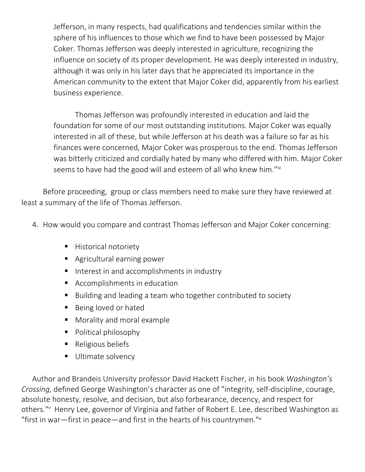Jefferson, in many respects, had qualifications and tendencies similar within the sphere of his influences to those which we find to have been possessed by Major Coker. Thomas Jefferson was deeply interested in agriculture, recognizing the influence on society of its proper development. He was deeply interested in industry, although it was only in his later days that he appreciated its importance in the American community to the extent that Major Coker did, apparently from his earliest business experience.

Thomas Jefferson was profoundly interested in education and laid the foundation for some of our most outstanding institutions. Major Coker was equally interested in all of these, but while Jefferson at his death was a failure so far as his finances were concerned, Major Coker was prosperous to the end. Thomas Jefferson was bitterly criticized and cordially hated by many who differed with him. Major Coker seems to have had the good will and esteem of all who knew him."iv

Before proceeding, group or class members need to make sure they have reviewed at least a summary of the life of Thomas Jefferson.

- 4. How would you compare and contrast Thomas Jefferson and Major Coker concerning:
	- **Historical notoriety**
	- Agricultural earning power
	- Interest in and accomplishments in industry
	- **Accomplishments in education**
	- Building and leading a team who together contributed to society
	- Being loved or hated
	- **Morality and moral example**
	- **Political philosophy**
	- Religious beliefs
	- Ultimate solvency

Author and Brandeis University professor David Hackett Fischer, in his book *Washington's Crossing*, defined George Washington's character as one of "integrity, self-discipline, courage, absolute honesty, resolve, and decision, but also forbearance, decency, and respect for others."<sup>v</sup> Henry Lee, governor of Virginia and father of Robert E. Lee, described Washington as "first in war—first in peace—and first in the hearts of his countrymen."vi